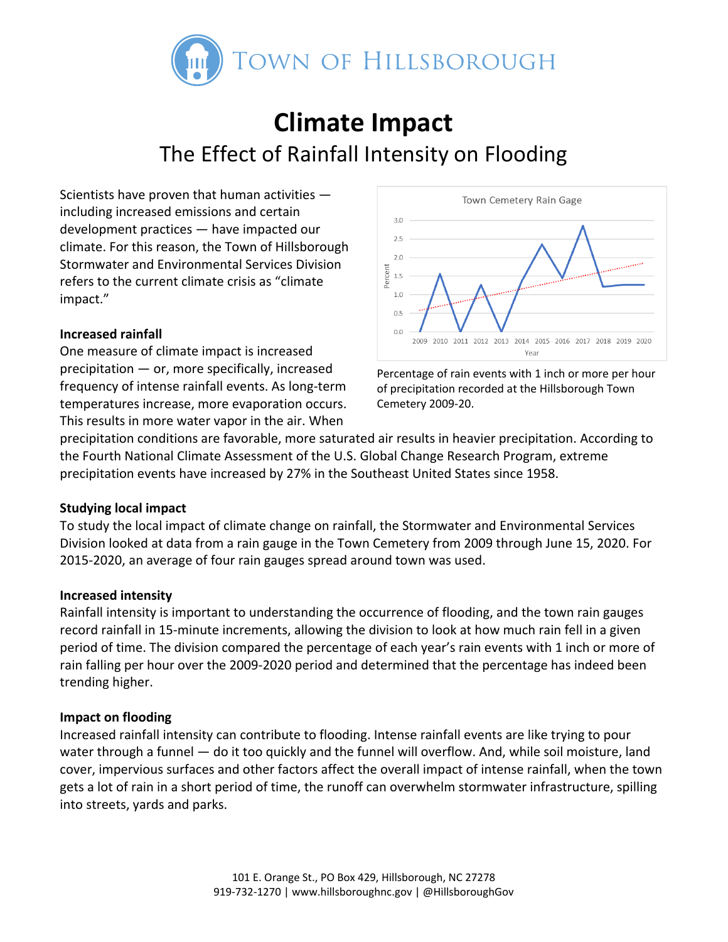

# **Climate Impact** The Effect of Rainfall Intensity on Flooding

Scientists have proven that human activities ― including increased emissions and certain development practices ― have impacted our climate. For this reason, the Town of Hillsborough Stormwater and Environmental Services Division refers to the current climate crisis as "climate impact."

## **Increased rainfall**

One measure of climate impact is increased precipitation ― or, more specifically, increased frequency of intense rainfall events. As long-term temperatures increase, more evaporation occurs. This results in more water vapor in the air. When



Percentage of rain events with 1 inch or more per hour of precipitation recorded at the Hillsborough Town Cemetery 2009-20.

precipitation conditions are favorable, more saturated air results in heavier precipitation. According to the Fourth National Climate Assessment of the U.S. Global Change Research Program, extreme precipitation events have increased by 27% in the Southeast United States since 1958.

#### **Studying local impact**

To study the local impact of climate change on rainfall, the Stormwater and Environmental Services Division looked at data from a rain gauge in the Town Cemetery from 2009 through June 15, 2020. For 2015-2020, an average of four rain gauges spread around town was used.

#### **Increased intensity**

Rainfall intensity is important to understanding the occurrence of flooding, and the town rain gauges record rainfall in 15-minute increments, allowing the division to look at how much rain fell in a given period of time. The division compared the percentage of each year's rain events with 1 inch or more of rain falling per hour over the 2009-2020 period and determined that the percentage has indeed been trending higher.

## **Impact on flooding**

Increased rainfall intensity can contribute to flooding. Intense rainfall events are like trying to pour water through a funnel — do it too quickly and the funnel will overflow. And, while soil moisture, land cover, impervious surfaces and other factors affect the overall impact of intense rainfall, when the town gets a lot of rain in a short period of time, the runoff can overwhelm stormwater infrastructure, spilling into streets, yards and parks.